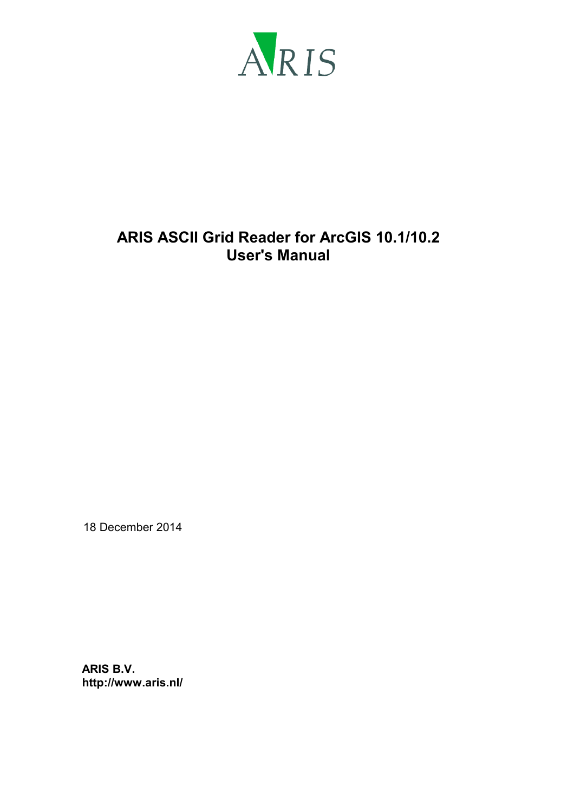

# **ARIS ASCII Grid Reader for ArcGIS 10.1/10.2 User's Manual**

18 December 2014

**ARIS B.V. http://www.aris.nl/**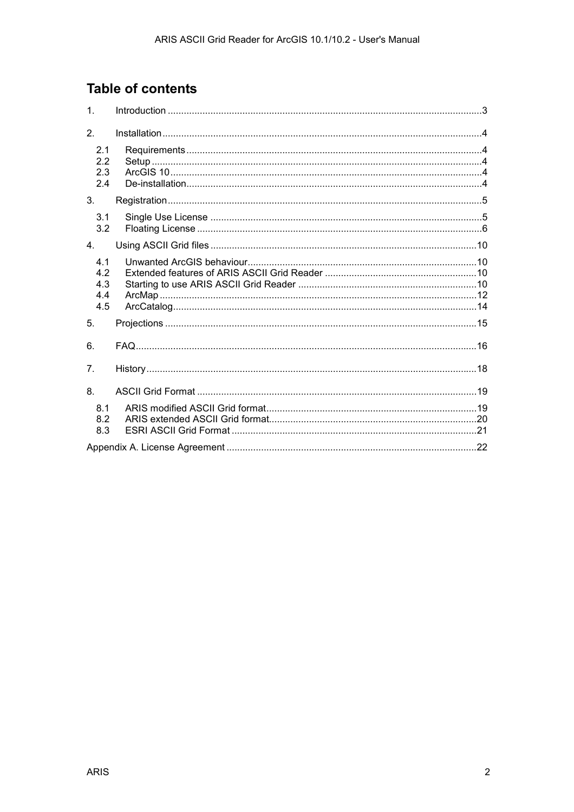# **Table of contents**

| 1.                              |  |
|---------------------------------|--|
| 2.                              |  |
| 2.1<br>2.2<br>2.3<br>2.4        |  |
| 3.                              |  |
| 3.1<br>3.2                      |  |
| $\overline{4}$ .                |  |
| 4.1<br>4.2<br>4.3<br>4.4<br>4.5 |  |
| 5.                              |  |
| 6.                              |  |
| 7 <sub>1</sub>                  |  |
| 8.                              |  |
| 8.1<br>8.2<br>8.3               |  |
|                                 |  |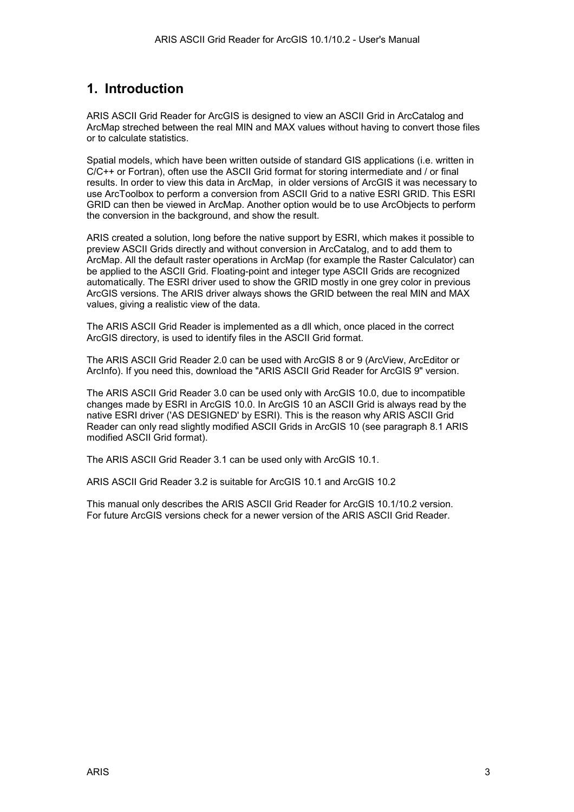## <span id="page-2-0"></span>**1. Introduction**

ARIS ASCII Grid Reader for ArcGIS is designed to view an ASCII Grid in ArcCatalog and ArcMap streched between the real MIN and MAX values without having to convert those files or to calculate statistics.

Spatial models, which have been written outside of standard GIS applications (i.e. written in C/C++ or Fortran), often use the ASCII Grid format for storing intermediate and / or final results. In order to view this data in ArcMap, in older versions of ArcGIS it was necessary to use ArcToolbox to perform a conversion from ASCII Grid to a native ESRI GRID. This ESRI GRID can then be viewed in ArcMap. Another option would be to use ArcObjects to perform the conversion in the background, and show the result.

ARIS created a solution, long before the native support by ESRI, which makes it possible to preview ASCII Grids directly and without conversion in ArcCatalog, and to add them to ArcMap. All the default raster operations in ArcMap (for example the Raster Calculator) can be applied to the ASCII Grid. Floating-point and integer type ASCII Grids are recognized automatically. The ESRI driver used to show the GRID mostly in one grey color in previous ArcGIS versions. The ARIS driver always shows the GRID between the real MIN and MAX values, giving a realistic view of the data.

The ARIS ASCII Grid Reader is implemented as a dll which, once placed in the correct ArcGIS directory, is used to identify files in the ASCII Grid format.

The ARIS ASCII Grid Reader 2.0 can be used with ArcGIS 8 or 9 (ArcView, ArcEditor or ArcInfo). If you need this, download the "ARIS ASCII Grid Reader for ArcGIS 9" version.

The ARIS ASCII Grid Reader 3.0 can be used only with ArcGIS 10.0, due to incompatible changes made by ESRI in ArcGIS 10.0. In ArcGIS 10 an ASCII Grid is always read by the native ESRI driver ('AS DESIGNED' by ESRI). This is the reason why ARIS ASCII Grid Reader can only read slightly modified ASCII Grids in ArcGIS 10 (see paragraph [8.1 ARIS](#page-18-0)  [modified ASCII Grid format\)](#page-18-0).

The ARIS ASCII Grid Reader 3.1 can be used only with ArcGIS 10.1.

ARIS ASCII Grid Reader 3.2 is suitable for ArcGIS 10.1 and ArcGIS 10.2

This manual only describes the ARIS ASCII Grid Reader for ArcGIS 10.1/10.2 version. For future ArcGIS versions check for a newer version of the ARIS ASCII Grid Reader.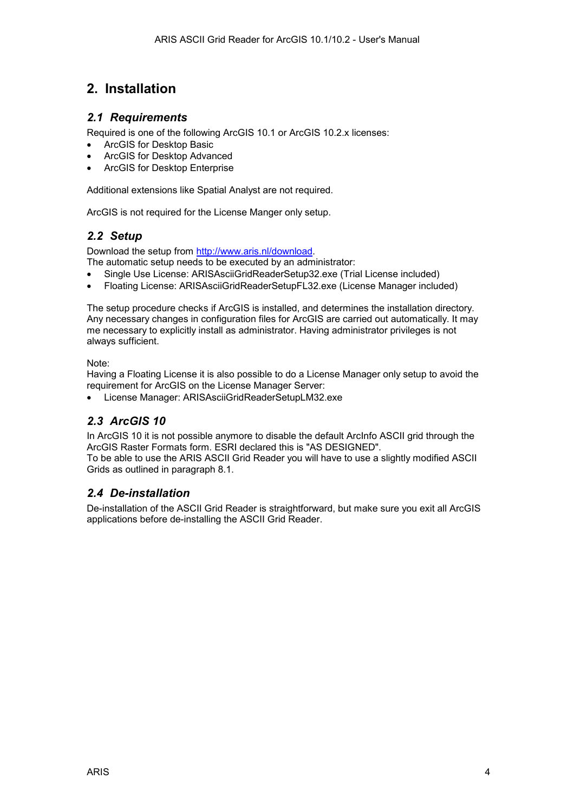# <span id="page-3-0"></span>**2. Installation**

#### *2.1 Requirements*

Required is one of the following ArcGIS 10.1 or ArcGIS 10.2.x licenses:

- ArcGIS for Desktop Basic
- ArcGIS for Desktop Advanced
- ArcGIS for Desktop Enterprise

Additional extensions like Spatial Analyst are not required.

ArcGIS is not required for the License Manger only setup.

#### *2.2 Setup*

Download the setup from [http://www.aris.nl/download.](http://www.aris.nl/download) 

The automatic setup needs to be executed by an administrator:

- Single Use License: ARISAsciiGridReaderSetup32.exe (Trial License included)
- Floating License: ARISAsciiGridReaderSetupFL32.exe (License Manager included)

The setup procedure checks if ArcGIS is installed, and determines the installation directory. Any necessary changes in configuration files for ArcGIS are carried out automatically. It may me necessary to explicitly install as administrator. Having administrator privileges is not always sufficient.

Note:

Having a Floating License it is also possible to do a License Manager only setup to avoid the requirement for ArcGIS on the License Manager Server:

• License Manager: ARISAsciiGridReaderSetupLM32.exe

### *2.3 ArcGIS 10*

In ArcGIS 10 it is not possible anymore to disable the default ArcInfo ASCII grid through the ArcGIS Raster Formats form. ESRI declared this is "AS DESIGNED".

To be able to use the ARIS ASCII Grid Reader you will have to use a slightly modified ASCII Grids as outlined in paragraph [8.1.](#page-18-0)

#### *2.4 De-installation*

De-installation of the ASCII Grid Reader is straightforward, but make sure you exit all ArcGIS applications before de-installing the ASCII Grid Reader.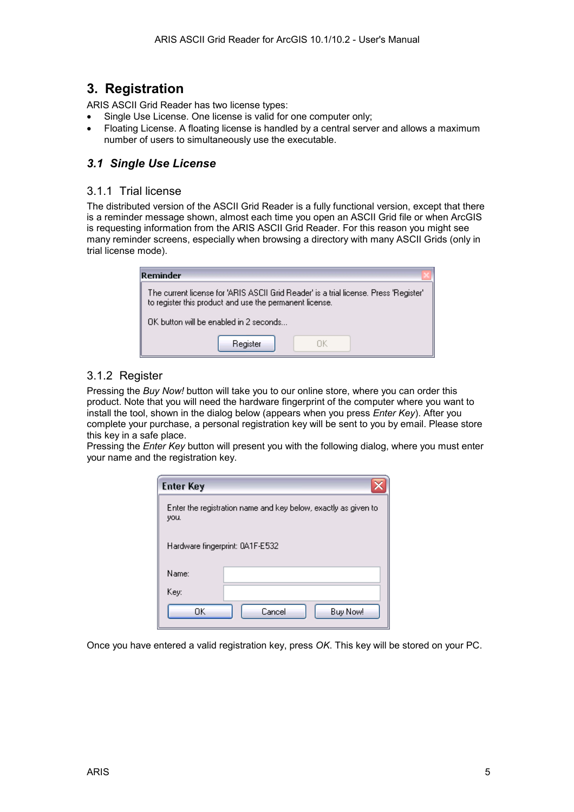## <span id="page-4-0"></span>**3. Registration**

ARIS ASCII Grid Reader has two license types:

- Single Use License. One license is valid for one computer only;
- Floating License. A floating license is handled by a central server and allows a maximum number of users to simultaneously use the executable.

### *3.1 Single Use License*

#### 3.1.1 Trial license

The distributed version of the ASCII Grid Reader is a fully functional version, except that there is a reminder message shown, almost each time you open an ASCII Grid file or when ArcGIS is requesting information from the ARIS ASCII Grid Reader. For this reason you might see many reminder screens, especially when browsing a directory with many ASCII Grids (only in trial license mode).

| Reminder                                                                                                                                         |  |  |  |  |
|--------------------------------------------------------------------------------------------------------------------------------------------------|--|--|--|--|
| The current license for 'ARIS ASCII Grid Reader' is a trial license. Press 'Register'<br>to register this product and use the permanent license. |  |  |  |  |
| $\n  0$ K button will be enabled in 2 seconds $\n  1$                                                                                            |  |  |  |  |
| Register                                                                                                                                         |  |  |  |  |

#### 3.1.2 Register

Pressing the *Buy Now!* button will take you to our online store, where you can order this product. Note that you will need the hardware fingerprint of the computer where you want to install the tool, shown in the dialog below (appears when you press *Enter Key*). After you complete your purchase, a personal registration key will be sent to you by email. Please store this key in a safe place.

Pressing the *Enter Key* button will present you with the following dialog, where you must enter your name and the registration key.

| <b>Enter Key</b>                                                       |                    |  |  |  |
|------------------------------------------------------------------------|--------------------|--|--|--|
| Enter the registration name and key below, exactly as given to<br>you. |                    |  |  |  |
| Hardware fingerprint: 0A1F-E532                                        |                    |  |  |  |
| Name:                                                                  |                    |  |  |  |
| Key:                                                                   |                    |  |  |  |
| OK                                                                     | Cancel<br>Buy Now! |  |  |  |

Once you have entered a valid registration key, press *OK*. This key will be stored on your PC.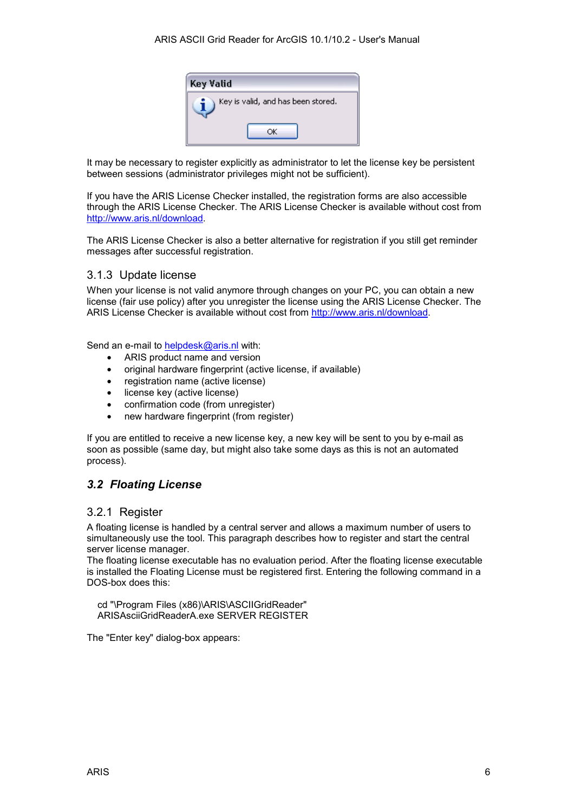

<span id="page-5-0"></span>It may be necessary to register explicitly as administrator to let the license key be persistent between sessions (administrator privileges might not be sufficient).

If you have the ARIS License Checker installed, the registration forms are also accessible through the ARIS License Checker. The ARIS License Checker is available without cost from [http://www.aris.nl/download.](http://www.aris.nl/download)

The ARIS License Checker is also a better alternative for registration if you still get reminder messages after successful registration.

#### 3.1.3 Update license

When your license is not valid anymore through changes on your PC, you can obtain a new license (fair use policy) after you unregister the license using the ARIS License Checker. The ARIS License Checker is available without cost from [http://www.aris.nl/download.](http://www.aris.nl/download) 

Send an e-mail to [helpdesk@aris.nl](mailto:helpdesk@aris.nl) with:

- ARIS product name and version
- original hardware fingerprint (active license, if available)
- registration name (active license)
- license key (active license)
- confirmation code (from unregister)
- new hardware fingerprint (from register)

If you are entitled to receive a new license key, a new key will be sent to you by e-mail as soon as possible (same day, but might also take some days as this is not an automated process).

#### *3.2 Floating License*

#### 3.2.1 Register

A floating license is handled by a central server and allows a maximum number of users to simultaneously use the tool. This paragraph describes how to register and start the central server license manager.

The floating license executable has no evaluation period. After the floating license executable is installed the Floating License must be registered first. Entering the following command in a DOS-box does this:

 cd "\Program Files (x86)\ARIS\ASCIIGridReader" ARISAsciiGridReaderA.exe SERVER REGISTER

The "Enter key" dialog-box appears: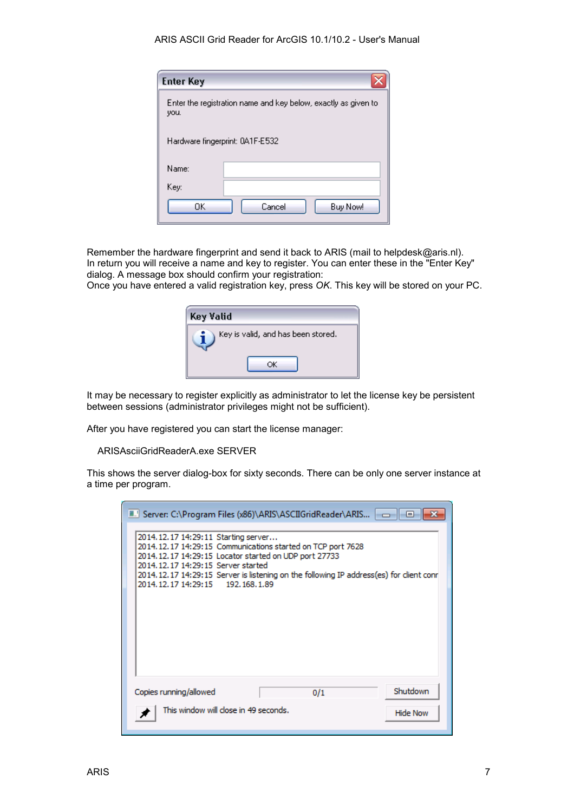| <b>Enter Key</b>                                                       |                    |  |  |  |
|------------------------------------------------------------------------|--------------------|--|--|--|
| Enter the registration name and key below, exactly as given to<br>you. |                    |  |  |  |
| Hardware fingerprint: 0A1F-E532                                        |                    |  |  |  |
| Name:                                                                  |                    |  |  |  |
| Key:                                                                   |                    |  |  |  |
| OΚ                                                                     | Cancel<br>Buy Now! |  |  |  |

Remember the hardware fingerprint and send it back to ARIS (mail to helpdesk@aris.nl). In return you will receive a name and key to register. You can enter these in the "Enter Key" dialog. A message box should confirm your registration:

Once you have entered a valid registration key, press *OK*. This key will be stored on your PC.

| Key Valid                          |  |
|------------------------------------|--|
| Key is valid, and has been stored. |  |
|                                    |  |

It may be necessary to register explicitly as administrator to let the license key be persistent between sessions (administrator privileges might not be sufficient).

After you have registered you can start the license manager:

ARISAsciiGridReaderA.exe SERVER

This shows the server dialog-box for sixty seconds. There can be only one server instance at a time per program.

| ■ Server: C:\Program Files (x86)\ARIS\ASCIIGridReader\ARIS   - -   <br>$\Box$                                                                                                                                                                                                                                                            |
|------------------------------------------------------------------------------------------------------------------------------------------------------------------------------------------------------------------------------------------------------------------------------------------------------------------------------------------|
| 2014.12.17 14:29:11 Starting server<br>2014.12.17 14:29:15 Communications started on TCP port 7628<br>2014, 12, 17 14: 29: 15 Locator started on UDP port 27733<br>2014, 12, 17 14: 29: 15 Server started<br>2014.12.17 14:29:15 Server is listening on the following IP address(es) for client conr<br>2014.12.17 14:29:15 192.168.1.89 |
| Shutdown<br>Copies running/allowed<br>0/1                                                                                                                                                                                                                                                                                                |
| This window will close in 49 seconds.<br><b>Hide Now</b>                                                                                                                                                                                                                                                                                 |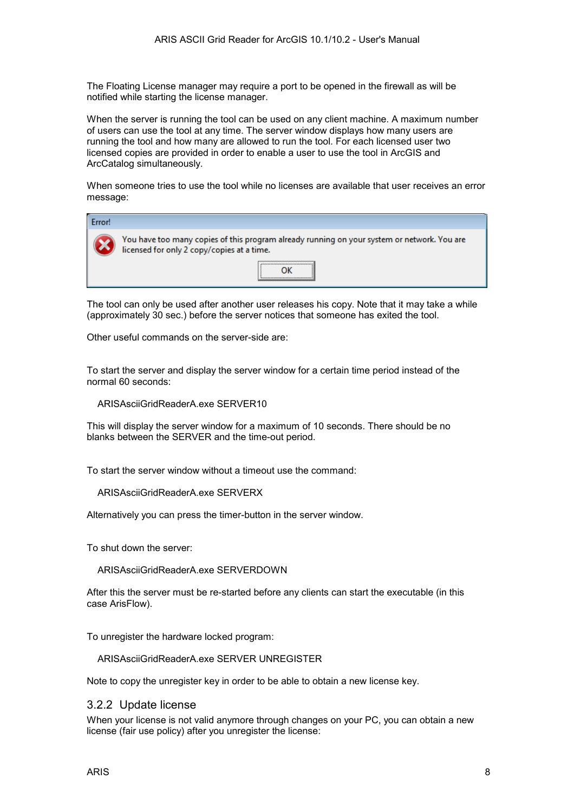The Floating License manager may require a port to be opened in the firewall as will be notified while starting the license manager.

When the server is running the tool can be used on any client machine. A maximum number of users can use the tool at any time. The server window displays how many users are running the tool and how many are allowed to run the tool. For each licensed user two licensed copies are provided in order to enable a user to use the tool in ArcGIS and ArcCatalog simultaneously.

When someone tries to use the tool while no licenses are available that user receives an error message:

| Error! |                                                                                                                                           |  |  |  |  |
|--------|-------------------------------------------------------------------------------------------------------------------------------------------|--|--|--|--|
|        | You have too many copies of this program already running on your system or network. You are<br>licensed for only 2 copy/copies at a time. |  |  |  |  |
|        |                                                                                                                                           |  |  |  |  |

The tool can only be used after another user releases his copy. Note that it may take a while (approximately 30 sec.) before the server notices that someone has exited the tool.

Other useful commands on the server-side are:

To start the server and display the server window for a certain time period instead of the normal 60 seconds:

ARISAsciiGridReaderA.exe SERVER10

This will display the server window for a maximum of 10 seconds. There should be no blanks between the SERVER and the time-out period.

To start the server window without a timeout use the command:

ARISAsciiGridReaderA.exe SERVERX

Alternatively you can press the timer-button in the server window.

To shut down the server:

ARISAsciiGridReaderA.exe SERVERDOWN

After this the server must be re-started before any clients can start the executable (in this case ArisFlow).

To unregister the hardware locked program:

ARISAsciiGridReaderA.exe SERVER UNREGISTER

Note to copy the unregister key in order to be able to obtain a new license key.

#### 3.2.2 Update license

When your license is not valid anymore through changes on your PC, you can obtain a new license (fair use policy) after you unregister the license: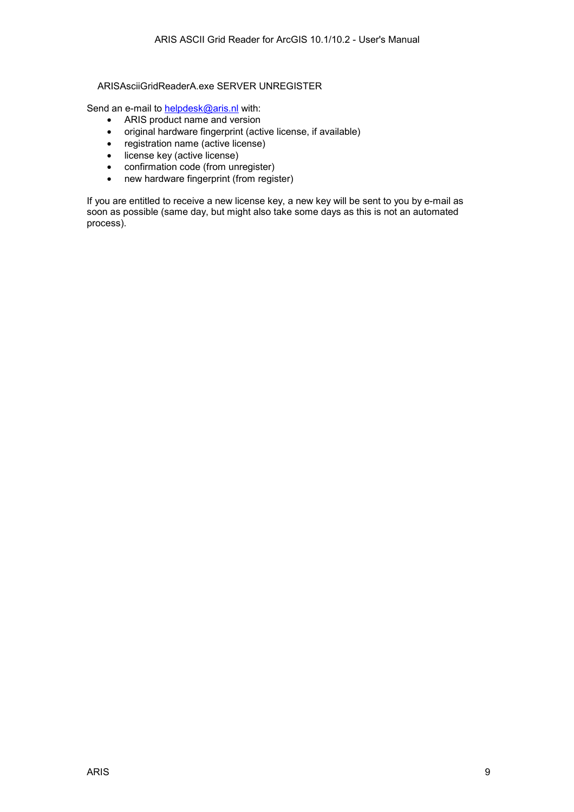#### ARISAsciiGridReaderA.exe SERVER UNREGISTER

Send an e-mail to **helpdesk@aris.nl** with:

- ARIS product name and version
- original hardware fingerprint (active license, if available)
- registration name (active license)
- license key (active license)
- confirmation code (from unregister)
- new hardware fingerprint (from register)

If you are entitled to receive a new license key, a new key will be sent to you by e-mail as soon as possible (same day, but might also take some days as this is not an automated process).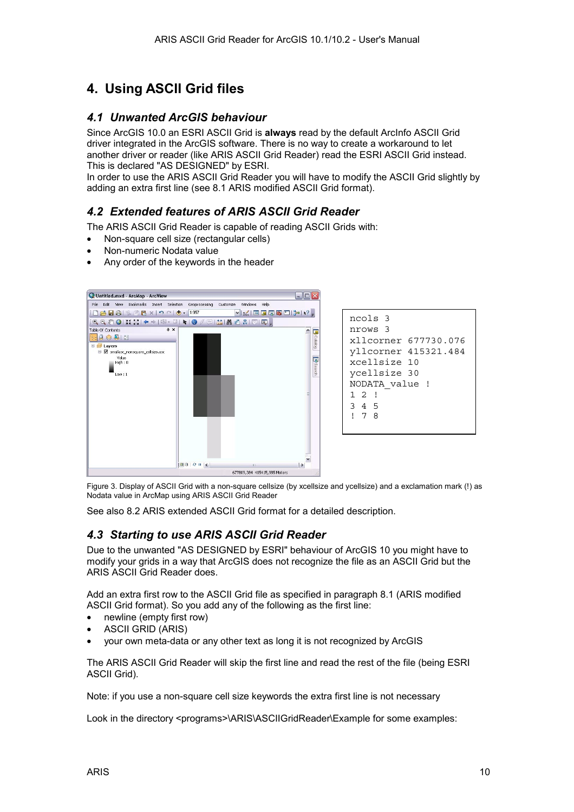# <span id="page-9-0"></span>**4. Using ASCII Grid files**

#### *4.1 Unwanted ArcGIS behaviour*

Since ArcGIS 10.0 an ESRI ASCII Grid is **always** read by the default ArcInfo ASCII Grid driver integrated in the ArcGIS software. There is no way to create a workaround to let another driver or reader (like ARIS ASCII Grid Reader) read the ESRI ASCII Grid instead. This is declared "AS DESIGNED" by ESRI.

In order to use the ARIS ASCII Grid Reader you will have to modify the ASCII Grid slightly by adding an extra first line (see [8.1 ARIS modified ASCII Grid format\)](#page-18-0).

### *4.2 Extended features of ARIS ASCII Grid Reader*

The ARIS ASCII Grid Reader is capable of reading ASCII Grids with:

- Non-square cell size (rectangular cells)
- Non-numeric Nodata value
- Any order of the keywords in the header



ncols 3 nrows 3 xllcorner 677730.076 yllcorner 415321.484 xcellsize 10 ycellsize 30 NODATA\_value ! 1 2 ! 3 4 5 ! 7 8

Figure 3. Display of ASCII Grid with a non-square cellsize (by xcellsize and ycellsize) and a exclamation mark (!) as Nodata value in ArcMap using ARIS ASCII Grid Reader

See also [8.2 ARIS extended ASCII Grid format](#page-19-0) for a detailed description.

#### *4.3 Starting to use ARIS ASCII Grid Reader*

Due to the unwanted "AS DESIGNED by ESRI" behaviour of ArcGIS 10 you might have to modify your grids in a way that ArcGIS does not recognize the file as an ASCII Grid but the ARIS ASCII Grid Reader does.

Add an extra first row to the ASCII Grid file as specified in paragraph [8.1 \(ARIS modified](#page-18-0)  [ASCII Grid format\)](#page-18-0). So you add any of the following as the first line:

- newline (empty first row)
- ASCII GRID (ARIS)
- your own meta-data or any other text as long it is not recognized by ArcGIS

The ARIS ASCII Grid Reader will skip the first line and read the rest of the file (being ESRI ASCII Grid).

Note: if you use a non-square cell size keywords the extra first line is not necessary

Look in the directory <programs>\ARIS\ASCIIGridReader\Example for some examples: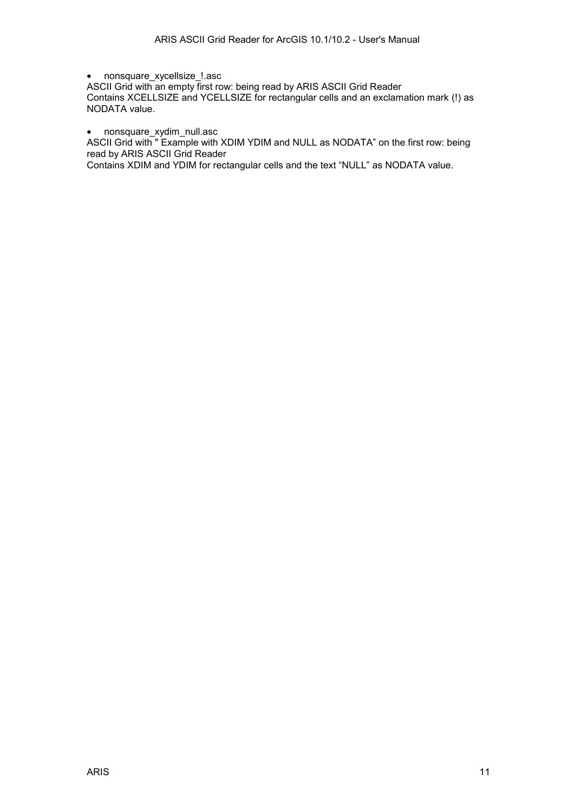• nonsquare\_xycellsize\_!.asc

ASCII Grid with an empty first row: being read by ARIS ASCII Grid Reader Contains XCELLSIZE and YCELLSIZE for rectangular cells and an exclamation mark (!) as NODATA value.

• nonsquare\_xydim\_null.asc

ASCII Grid with " Example with XDIM YDIM and NULL as NODATA" on the first row: being read by ARIS ASCII Grid Reader

Contains XDIM and YDIM for rectangular cells and the text "NULL" as NODATA value.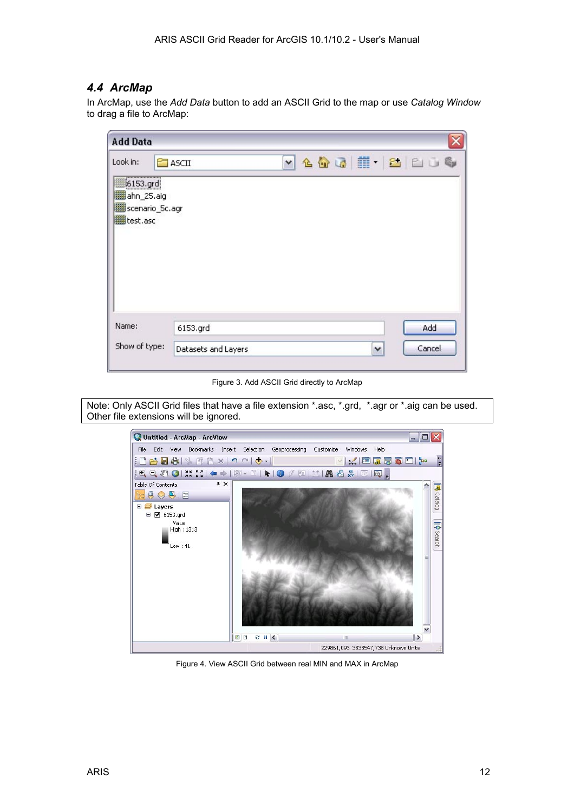#### <span id="page-11-0"></span>*4.4 ArcMap*

In ArcMap, use the *Add Data* button to add an ASCII Grid to the map or use *Catalog Window* to drag a file to ArcMap:

| <b>Add Data</b>                                                         |                                 |                     |               |
|-------------------------------------------------------------------------|---------------------------------|---------------------|---------------|
| Look in:<br>##6153.grd<br>翻ahn_25.aig<br>图 scenario_5c.agr<br>翻test.asc | <b>E</b> ASCII                  | v 4 4 5 1 - 8 8 6 6 |               |
| Name:<br>Show of type:                                                  | 6153.grd<br>Datasets and Layers | ٧                   | Add<br>Cancel |

Figure 3. Add ASCII Grid directly to ArcMap

Note: Only ASCII Grid files that have a file extension \*.asc, \*.grd, \*.agr or \*.aig can be used. Other file extensions will be ignored.



Figure 4. View ASCII Grid between real MIN and MAX in ArcMap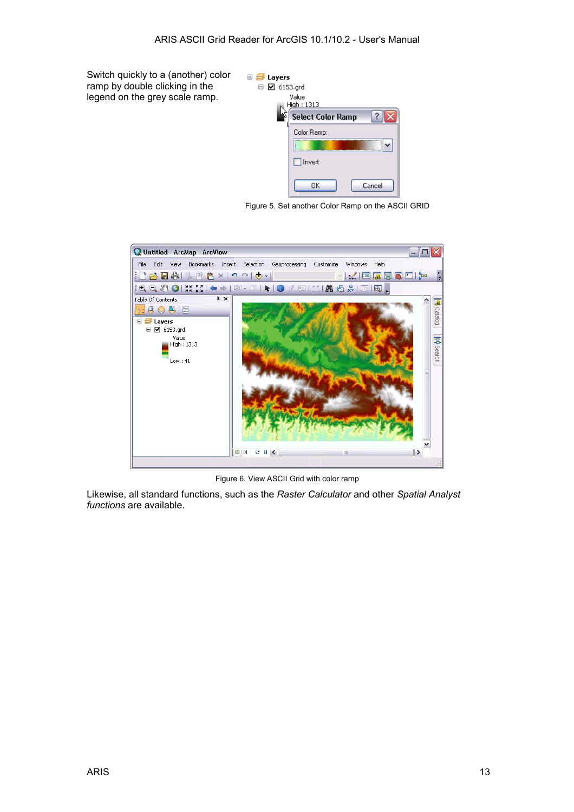Switch quickly to a (another) color ramp by double clicking in the legend on the grey scale ramp.



Figure 5. Set another Color Ramp on the ASCII GRID



Figure 6. View ASCII Grid with color ramp

Likewise, all standard functions, such as the *Raster Calculator* and other *Spatial Analyst functions* are available.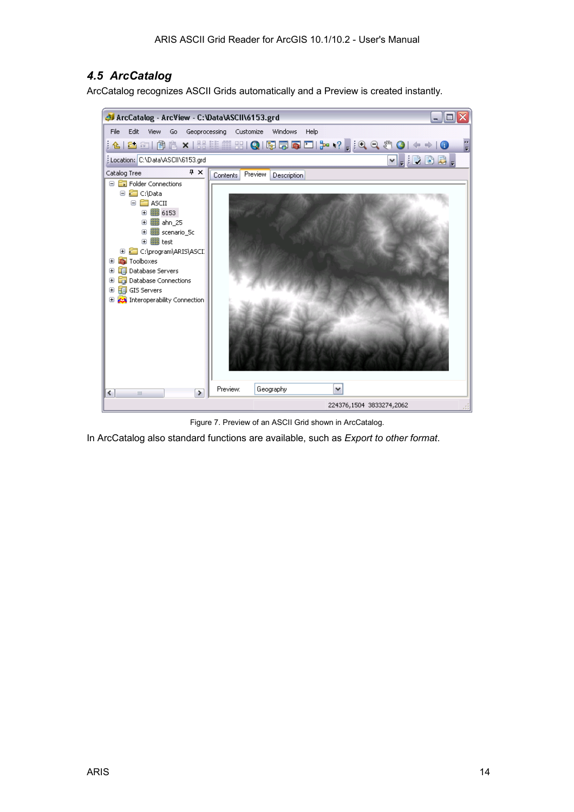### <span id="page-13-0"></span>*4.5 ArcCatalog*

ArcCatalog recognizes ASCII Grids automatically and a Preview is created instantly.



Figure 7. Preview of an ASCII Grid shown in ArcCatalog.

In ArcCatalog also standard functions are available, such as *Export to other format*.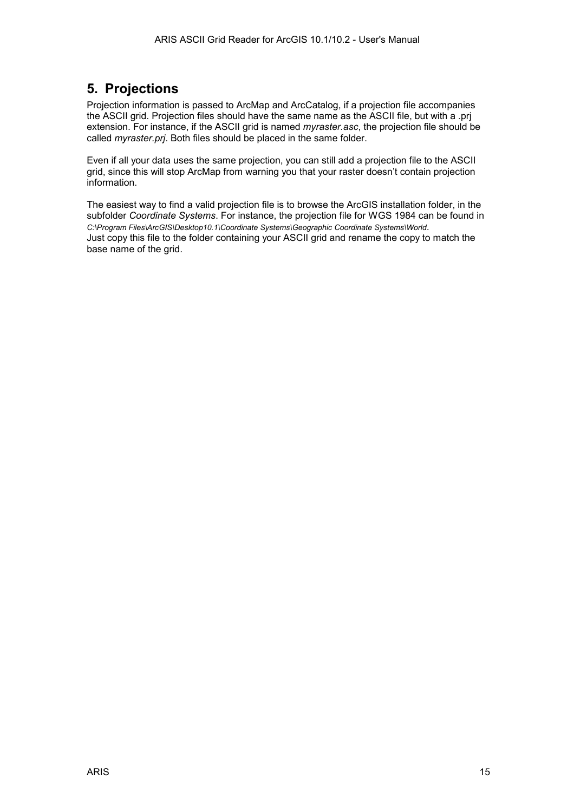# <span id="page-14-0"></span>**5. Projections**

Projection information is passed to ArcMap and ArcCatalog, if a projection file accompanies the ASCII grid. Projection files should have the same name as the ASCII file, but with a .prj extension. For instance, if the ASCII grid is named *myraster.asc*, the projection file should be called *myraster.prj*. Both files should be placed in the same folder.

Even if all your data uses the same projection, you can still add a projection file to the ASCII grid, since this will stop ArcMap from warning you that your raster doesn't contain projection information.

The easiest way to find a valid projection file is to browse the ArcGIS installation folder, in the subfolder *Coordinate Systems*. For instance, the projection file for WGS 1984 can be found in *C:\Program Files\ArcGIS\Desktop10.1\Coordinate Systems\Geographic Coordinate Systems\World*. Just copy this file to the folder containing your ASCII grid and rename the copy to match the base name of the grid.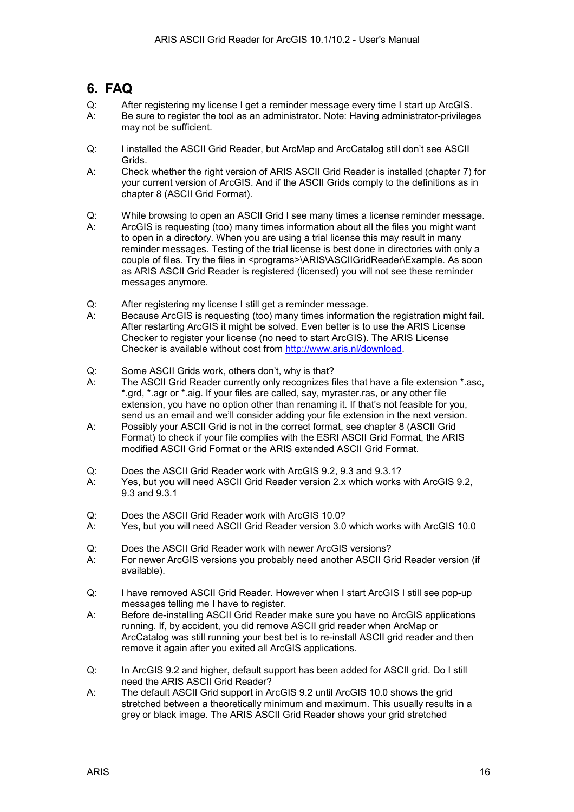## <span id="page-15-0"></span>**6. FAQ**

- Q: After registering my license I get a reminder message every time I start up ArcGIS. A: Be sure to register the tool as an administrator. Note: Having administrator-privileges may not be sufficient.
- Q: I installed the ASCII Grid Reader, but ArcMap and ArcCatalog still don't see ASCII Grids.
- A: Check whether the right version of ARIS ASCII Grid Reader is installed (chapter 7) for your current version of ArcGIS. And if the ASCII Grids comply to the definitions as in chapter [8 \(ASCII Grid Format\)](#page-18-0).
- Q: While browsing to open an ASCII Grid I see many times a license reminder message.
- A: ArcGIS is requesting (too) many times information about all the files you might want to open in a directory. When you are using a trial license this may result in many reminder messages. Testing of the trial license is best done in directories with only a couple of files. Try the files in <programs>\ARIS\ASCIIGridReader\Example. As soon as ARIS ASCII Grid Reader is registered (licensed) you will not see these reminder messages anymore.
- Q: After registering my license I still get a reminder message.
- A: Because ArcGIS is requesting (too) many times information the registration might fail. After restarting ArcGIS it might be solved. Even better is to use the ARIS License Checker to register your license (no need to start ArcGIS). The ARIS License Checker is available without cost from [http://www.aris.nl/download.](http://www.aris.nl/download)
- Q: Some ASCII Grids work, others don't, why is that?
- A: The ASCII Grid Reader currently only recognizes files that have a file extension \*.asc, \*.grd, \*.agr or \*.aig. If your files are called, say, myraster.ras, or any other file extension, you have no option other than renaming it. If that's not feasible for you, send us an email and we'll consider adding your file extension in the next version.
- A: Possibly your ASCII Grid is not in the correct format, see chapter [8 \(ASCII Grid](#page-18-0)  [Format\)](#page-18-0) to check if your file complies with the ESRI ASCII Grid Format, the ARIS modified ASCII Grid Format or the ARIS extended ASCII Grid Format.
- Q: Does the ASCII Grid Reader work with ArcGIS 9.2, 9.3 and 9.3.1?
- A: Yes, but you will need ASCII Grid Reader version 2.x which works with ArcGIS 9.2, 9.3 and 9.3.1
- Q: Does the ASCII Grid Reader work with ArcGIS 10.0?
- A: Yes, but you will need ASCII Grid Reader version 3.0 which works with ArcGIS 10.0
- Q: Does the ASCII Grid Reader work with newer ArcGIS versions?
- A: For newer ArcGIS versions you probably need another ASCII Grid Reader version (if available).
- Q: I have removed ASCII Grid Reader. However when I start ArcGIS I still see pop-up messages telling me I have to register.
- A: Before de-installing ASCII Grid Reader make sure you have no ArcGIS applications running. If, by accident, you did remove ASCII grid reader when ArcMap or ArcCatalog was still running your best bet is to re-install ASCII grid reader and then remove it again after you exited all ArcGIS applications.
- Q: In ArcGIS 9.2 and higher, default support has been added for ASCII grid. Do I still need the ARIS ASCII Grid Reader?
- A: The default ASCII Grid support in ArcGIS 9.2 until ArcGIS 10.0 shows the grid stretched between a theoretically minimum and maximum. This usually results in a grey or black image. The ARIS ASCII Grid Reader shows your grid stretched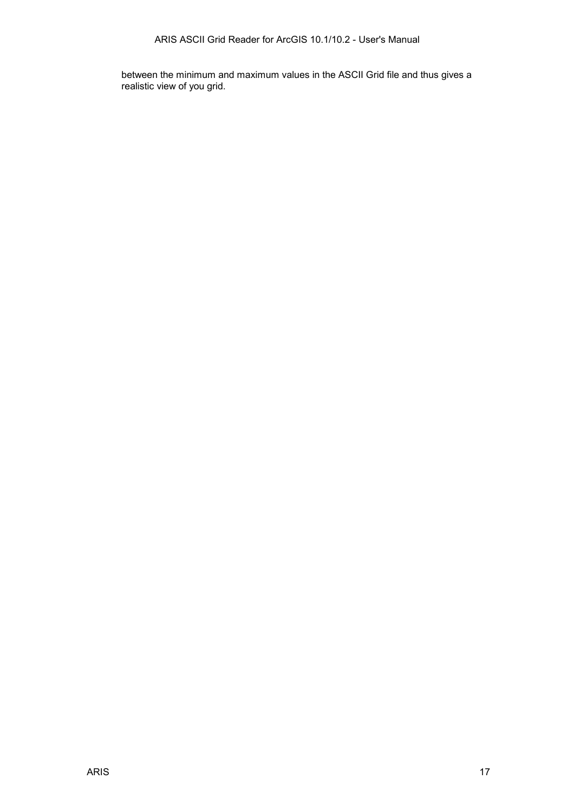between the minimum and maximum values in the ASCII Grid file and thus gives a realistic view of you grid.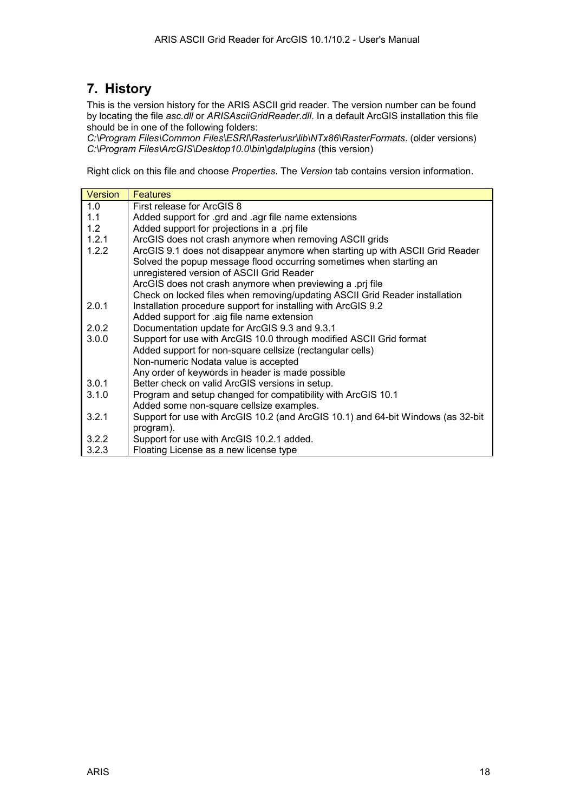# <span id="page-17-0"></span>**7. History**

This is the version history for the ARIS ASCII grid reader. The version number can be found by locating the file *asc.dll* or *ARISAsciiGridReader.dll*. In a default ArcGIS installation this file should be in one of the following folders:

*C:\Program Files\Common Files\ESRI\Raster\usr\lib\NTx86\RasterFormats*. (older versions) *C:\Program Files\ArcGIS\Desktop10.0\bin\gdalplugins* (this version)

Right click on this file and choose *Properties*. The *Version* tab contains version information.

| Version | <b>Features</b>                                                                  |  |  |  |
|---------|----------------------------------------------------------------------------------|--|--|--|
| 1.0     | First release for ArcGIS 8                                                       |  |  |  |
| 1.1     | Added support for .grd and .agr file name extensions                             |  |  |  |
| 1.2     | Added support for projections in a .prj file                                     |  |  |  |
| 1.2.1   | ArcGIS does not crash anymore when removing ASCII grids                          |  |  |  |
| 1.2.2   | ArcGIS 9.1 does not disappear anymore when starting up with ASCII Grid Reader    |  |  |  |
|         | Solved the popup message flood occurring sometimes when starting an              |  |  |  |
|         | unregistered version of ASCII Grid Reader                                        |  |  |  |
|         | ArcGIS does not crash anymore when previewing a .prj file                        |  |  |  |
|         | Check on locked files when removing/updating ASCII Grid Reader installation      |  |  |  |
| 2.0.1   | Installation procedure support for installing with ArcGIS 9.2                    |  |  |  |
|         | Added support for .aig file name extension                                       |  |  |  |
| 2.0.2   | Documentation update for ArcGIS 9.3 and 9.3.1                                    |  |  |  |
| 3.0.0   | Support for use with ArcGIS 10.0 through modified ASCII Grid format              |  |  |  |
|         | Added support for non-square cellsize (rectangular cells)                        |  |  |  |
|         | Non-numeric Nodata value is accepted                                             |  |  |  |
|         | Any order of keywords in header is made possible                                 |  |  |  |
| 3.0.1   | Better check on valid ArcGIS versions in setup.                                  |  |  |  |
| 3.1.0   | Program and setup changed for compatibility with ArcGIS 10.1                     |  |  |  |
|         | Added some non-square cellsize examples.                                         |  |  |  |
| 3.2.1   | Support for use with ArcGIS 10.2 (and ArcGIS 10.1) and 64-bit Windows (as 32-bit |  |  |  |
|         | program).                                                                        |  |  |  |
| 3.2.2   | Support for use with ArcGIS 10.2.1 added.                                        |  |  |  |
| 3.2.3   | Floating License as a new license type                                           |  |  |  |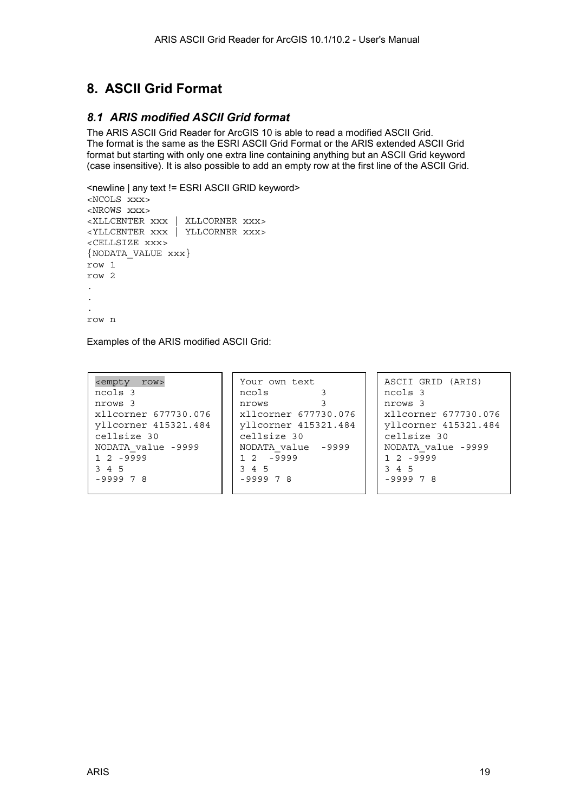# <span id="page-18-0"></span>**8. ASCII Grid Format**

### *8.1 ARIS modified ASCII Grid format*

The ARIS ASCII Grid Reader for ArcGIS 10 is able to read a modified ASCII Grid. The format is the same as the ESRI ASCII Grid Format or the ARIS extended ASCII Grid format but starting with only one extra line containing anything but an ASCII Grid keyword (case insensitive). It is also possible to add an empty row at the first line of the ASCII Grid.

```
<newline | any text != ESRI ASCII GRID keyword> 
<NCOLS xxx> 
<NROWS xxx> 
<XLLCENTER xxx | XLLCORNER xxx> 
<YLLCENTER xxx | YLLCORNER xxx> 
<CELLSIZE xxx> 
{NODATA_VALUE xxx} 
row 1 
row 2 
. 
. 
. 
row n
```
Examples of the ARIS modified ASCII Grid:

| <empty row=""></empty> | Your own text        | ASCII GRID (ARIS)    |
|------------------------|----------------------|----------------------|
| ncols 3                | ncols                | ncols 3              |
| nrows 3                | nrows                | nrows 3              |
| xllcorner 677730.076   | xllcorner 677730.076 | xllcorner 677730.076 |
| vllcorner 415321.484   | yllcorner 415321.484 | yllcorner 415321.484 |
| cellsize 30            | cellsize 30          | cellsize 30          |
| NODATA value -9999     | NODATA value -9999   | NODATA value -9999   |
| $1, 2, -9999$          | $12 - 9999$          | $1, 2, -9999$        |
| 3 4 5                  | 3 4 5                | 3 4 5                |
| $-999978$              | $-999978$            | $-999978$            |
|                        |                      |                      |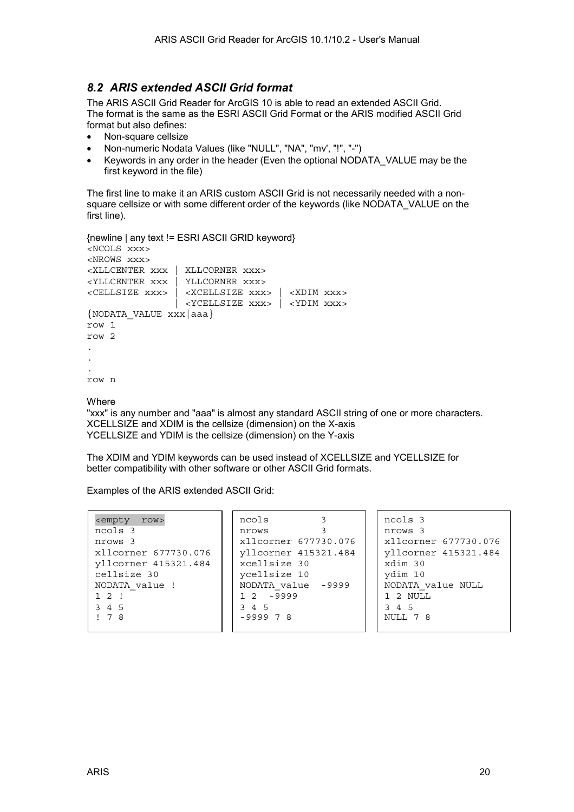#### <span id="page-19-0"></span>*8.2 ARIS extended ASCII Grid format*

The ARIS ASCII Grid Reader for ArcGIS 10 is able to read an extended ASCII Grid. The format is the same as the [ESRI ASCII Grid Format](#page-20-0) or the [ARIS modified ASCII Grid](#page-18-0)  [format](#page-18-0) but also defines:

- Non-square cellsize
- Non-numeric Nodata Values (like "NULL", "NA", "mv', "!", "-")
- Keywords in any order in the header (Even the optional NODATA\_VALUE may be the first keyword in the file)

The first line to make it an ARIS custom ASCII Grid is not necessarily needed with a nonsquare cellsize or with some different order of the keywords (like NODATA\_VALUE on the first line).

```
{newline | any text != ESRI ASCII GRID keyword} 
<NCOLS xxx> 
<NROWS xxx> 
<XLLCENTER xxx | XLLCORNER xxx> 
<YLLCENTER xxx | YLLCORNER xxx> 
<CELLSIZE xxx> | <XCELLSIZE xxx> | <XDIM xxx> 
                 | <YCELLSIZE xxx> | <YDIM xxx>
{NODATA_VALUE xxx|aaa} 
row 1 
row 2 
. 
. 
. 
row n
```
**Where** 

"xxx" is any number and "aaa" is almost any standard ASCII string of one or more characters. XCELLSIZE and XDIM is the cellsize (dimension) on the X-axis YCELLSIZE and YDIM is the cellsize (dimension) on the Y-axis

The XDIM and YDIM keywords can be used instead of XCELLSIZE and YCELLSIZE for better compatibility with other software or other ASCII Grid formats.

Examples of the ARIS extended ASCII Grid:

| <empty row=""></empty> | ncols              |                      |  | ncols 3              |
|------------------------|--------------------|----------------------|--|----------------------|
| ncols 3                | nrows              |                      |  | nrows 3              |
| nrows 3                |                    | xllcorner 677730.076 |  | xllcorner 677730.076 |
| xllcorner 677730.076   |                    | yllcorner 415321.484 |  | yllcorner 415321.484 |
| yllcorner 415321.484   |                    | xcellsize 30         |  | xdim 30              |
| cellsize 30            | ycellsize 10       |                      |  | ydim 10              |
| NODATA value !         | NODATA value -9999 |                      |  | NODATA value NULL    |
| 12!                    | $12 - 9999$        |                      |  | 1 2 NULL             |
| 3 4 5                  | 3 4 5              |                      |  | 3 4 5                |
| 178                    | $-999978$          |                      |  | NULL 7 8             |
|                        |                    |                      |  |                      |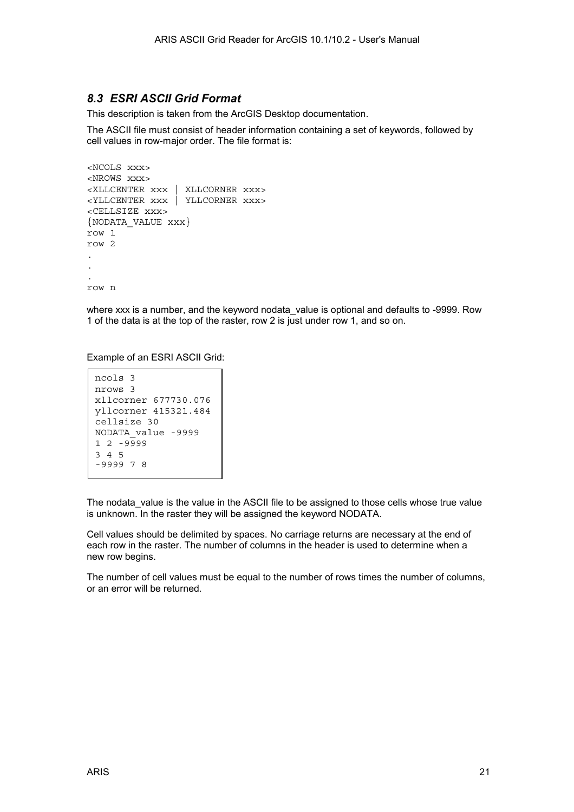#### <span id="page-20-0"></span>*8.3 ESRI ASCII Grid Format*

This description is taken from the ArcGIS Desktop documentation.

The ASCII file must consist of header information containing a set of keywords, followed by cell values in row-major order. The file format is:

```
<NCOLS xxx> 
<NROWS xxx> 
<XLLCENTER xxx | XLLCORNER xxx> 
<YLLCENTER xxx | YLLCORNER xxx> 
<CELLSIZE xxx> 
{NODATA_VALUE xxx} 
row 1 
row 2 
. 
. 
. 
row n
```
where xxx is a number, and the keyword nodata value is optional and defaults to -9999. Row 1 of the data is at the top of the raster, row 2 is just under row 1, and so on.

Example of an ESRI ASCII Grid:

```
ncols 3 
nrows 3 
xllcorner 677730.076 
yllcorner 415321.484 
cellsize 30 
NODATA_value -9999 
1 2 -9999 
3 4 5 
-9999 7 8
```
The nodata value is the value in the ASCII file to be assigned to those cells whose true value is unknown. In the raster they will be assigned the keyword NODATA.

Cell values should be delimited by spaces. No carriage returns are necessary at the end of each row in the raster. The number of columns in the header is used to determine when a new row begins.

The number of cell values must be equal to the number of rows times the number of columns, or an error will be returned.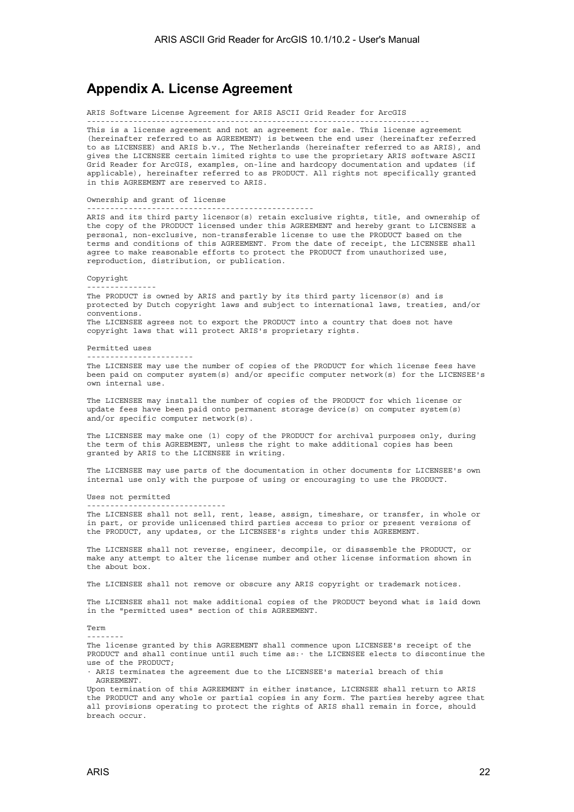### <span id="page-21-0"></span>**Appendix A. License Agreement**

ARIS Software License Agreement for ARIS ASCII Grid Reader for ArcGIS

-------------------------------------------------------------------------- This is a license agreement and not an agreement for sale. This license agreement (hereinafter referred to as AGREEMENT) is between the end user (hereinafter referred to as LICENSEE) and ARIS b.v., The Netherlands (hereinafter referred to as ARIS), and gives the LICENSEE certain limited rights to use the proprietary ARIS software ASCII Grid Reader for ArcGIS, examples, on-line and hardcopy documentation and updates (if applicable), hereinafter referred to as PRODUCT. All rights not specifically granted in this AGREEMENT are reserved to ARIS.

Ownership and grant of license

-------------------------------------------------

------------------------------

ARIS and its third party licensor(s) retain exclusive rights, title, and ownership of the copy of the PRODUCT licensed under this AGREEMENT and hereby grant to LICENSEE a personal, non-exclusive, non-transferable license to use the PRODUCT based on the terms and conditions of this AGREEMENT. From the date of receipt, the LICENSEE shall agree to make reasonable efforts to protect the PRODUCT from unauthorized use, reproduction, distribution, or publication.

Copyright

--------------- The PRODUCT is owned by ARIS and partly by its third party licensor(s) and is protected by Dutch copyright laws and subject to international laws, treaties, and/or conventions. The LICENSEE agrees not to export the PRODUCT into a country that does not have copyright laws that will protect ARIS's proprietary rights.

Permitted uses

-----------------------

The LICENSEE may use the number of copies of the PRODUCT for which license fees have been paid on computer system(s) and/or specific computer network(s) for the LICENSEE's own internal use.

The LICENSEE may install the number of copies of the PRODUCT for which license or update fees have been paid onto permanent storage device(s) on computer system(s) and/or specific computer network(s).

The LICENSEE may make one (1) copy of the PRODUCT for archival purposes only, during the term of this AGREEMENT, unless the right to make additional copies has been granted by ARIS to the LICENSEE in writing.

The LICENSEE may use parts of the documentation in other documents for LICENSEE's own internal use only with the purpose of using or encouraging to use the PRODUCT.

Uses not permitted

The LICENSEE shall not sell, rent, lease, assign, timeshare, or transfer, in whole or in part, or provide unlicensed third parties access to prior or present versions of the PRODUCT, any updates, or the LICENSEE's rights under this AGREEMENT.

The LICENSEE shall not reverse, engineer, decompile, or disassemble the PRODUCT, or make any attempt to alter the license number and other license information shown in the about box.

The LICENSEE shall not remove or obscure any ARIS copyright or trademark notices.

The LICENSEE shall not make additional copies of the PRODUCT beyond what is laid down in the "permitted uses" section of this AGREEMENT.

Term

--------

The license granted by this AGREEMENT shall commence upon LICENSEE's receipt of the PRODUCT and shall continue until such time as:· the LICENSEE elects to discontinue the use of the PRODUCT;

· ARIS terminates the agreement due to the LICENSEE's material breach of this AGREEMENT.

Upon termination of this AGREEMENT in either instance, LICENSEE shall return to ARIS the PRODUCT and any whole or partial copies in any form. The parties hereby agree that all provisions operating to protect the rights of ARIS shall remain in force, should breach occur.